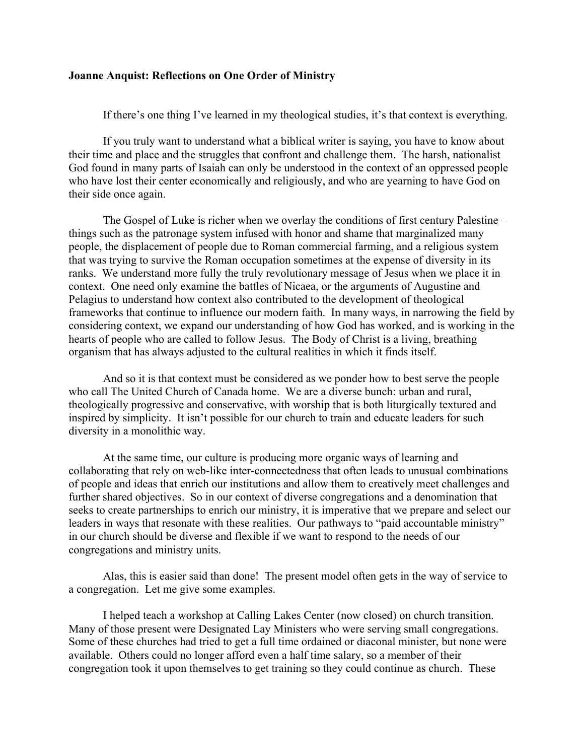## **Joanne Anquist: Reflections on One Order of Ministry**

If there's one thing I've learned in my theological studies, it's that context is everything.

If you truly want to understand what a biblical writer is saying, you have to know about their time and place and the struggles that confront and challenge them. The harsh, nationalist God found in many parts of Isaiah can only be understood in the context of an oppressed people who have lost their center economically and religiously, and who are yearning to have God on their side once again.

The Gospel of Luke is richer when we overlay the conditions of first century Palestine – things such as the patronage system infused with honor and shame that marginalized many people, the displacement of people due to Roman commercial farming, and a religious system that was trying to survive the Roman occupation sometimes at the expense of diversity in its ranks. We understand more fully the truly revolutionary message of Jesus when we place it in context. One need only examine the battles of Nicaea, or the arguments of Augustine and Pelagius to understand how context also contributed to the development of theological frameworks that continue to influence our modern faith. In many ways, in narrowing the field by considering context, we expand our understanding of how God has worked, and is working in the hearts of people who are called to follow Jesus. The Body of Christ is a living, breathing organism that has always adjusted to the cultural realities in which it finds itself.

And so it is that context must be considered as we ponder how to best serve the people who call The United Church of Canada home. We are a diverse bunch: urban and rural, theologically progressive and conservative, with worship that is both liturgically textured and inspired by simplicity. It isn't possible for our church to train and educate leaders for such diversity in a monolithic way.

At the same time, our culture is producing more organic ways of learning and collaborating that rely on web-like inter-connectedness that often leads to unusual combinations of people and ideas that enrich our institutions and allow them to creatively meet challenges and further shared objectives. So in our context of diverse congregations and a denomination that seeks to create partnerships to enrich our ministry, it is imperative that we prepare and select our leaders in ways that resonate with these realities. Our pathways to "paid accountable ministry" in our church should be diverse and flexible if we want to respond to the needs of our congregations and ministry units.

Alas, this is easier said than done! The present model often gets in the way of service to a congregation. Let me give some examples.

I helped teach a workshop at Calling Lakes Center (now closed) on church transition. Many of those present were Designated Lay Ministers who were serving small congregations. Some of these churches had tried to get a full time ordained or diaconal minister, but none were available. Others could no longer afford even a half time salary, so a member of their congregation took it upon themselves to get training so they could continue as church. These